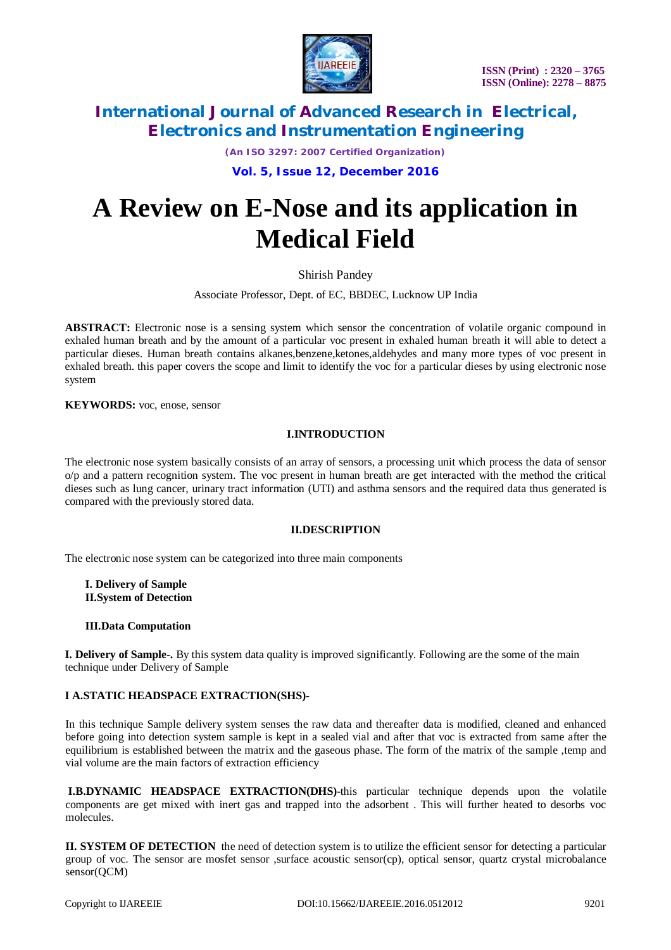

*(An ISO 3297: 2007 Certified Organization)*

**Vol. 5, Issue 12, December 2016**

# **A Review on E-Nose and its application in Medical Field**

Shirish Pandey

Associate Professor, Dept. of EC, BBDEC, Lucknow UP India

**ABSTRACT:** Electronic nose is a sensing system which sensor the concentration of volatile organic compound in exhaled human breath and by the amount of a particular voc present in exhaled human breath it will able to detect a particular dieses. Human breath contains alkanes,benzene,ketones,aldehydes and many more types of voc present in exhaled breath. this paper covers the scope and limit to identify the voc for a particular dieses by using electronic nose system

**KEYWORDS:** voc, enose, sensor

## **I.INTRODUCTION**

The electronic nose system basically consists of an array of sensors, a processing unit which process the data of sensor o/p and a pattern recognition system. The voc present in human breath are get interacted with the method the critical dieses such as lung cancer, urinary tract information (UTI) and asthma sensors and the required data thus generated is compared with the previously stored data.

## **II.DESCRIPTION**

The electronic nose system can be categorized into three main components

**I. Delivery of Sample II.System of Detection**

## **III.Data Computation**

**I. Delivery of Sample-.** By this system data quality is improved significantly. Following are the some of the main technique under Delivery of Sample

## **I A.STATIC HEADSPACE EXTRACTION(SHS)-**

In this technique Sample delivery system senses the raw data and thereafter data is modified, cleaned and enhanced before going into detection system sample is kept in a sealed vial and after that voc is extracted from same after the equilibrium is established between the matrix and the gaseous phase. The form of the matrix of the sample ,temp and vial volume are the main factors of extraction efficiency

**I.B.DYNAMIC HEADSPACE EXTRACTION(DHS)-**this particular technique depends upon the volatile components are get mixed with inert gas and trapped into the adsorbent . This will further heated to desorbs voc molecules.

**II. SYSTEM OF DETECTION** the need of detection system is to utilize the efficient sensor for detecting a particular group of voc. The sensor are mosfet sensor ,surface acoustic sensor(cp), optical sensor, quartz crystal microbalance sensor(QCM)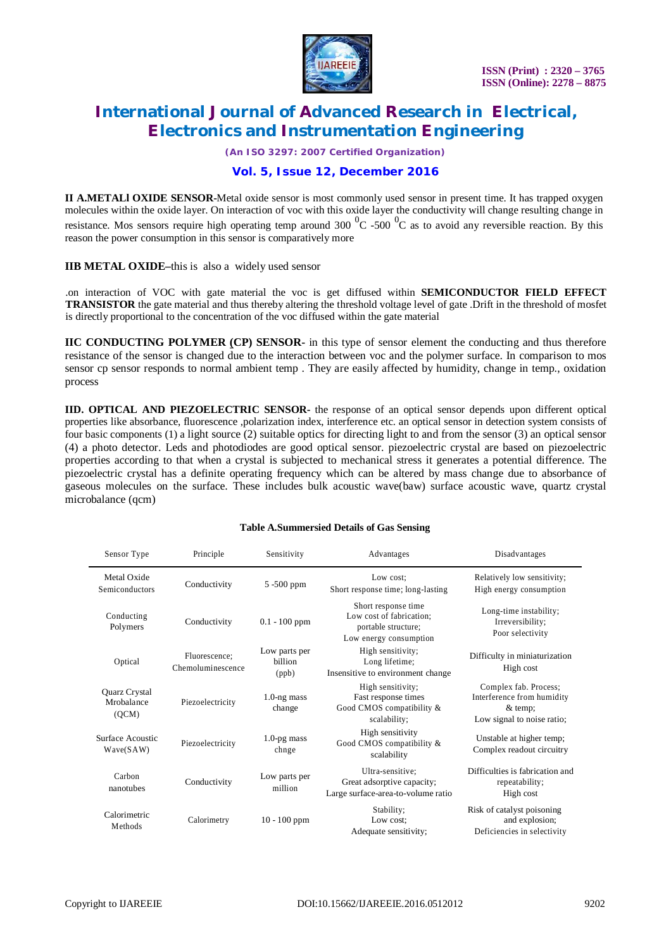

*(An ISO 3297: 2007 Certified Organization)*

# **Vol. 5, Issue 12, December 2016**

**II A.METALl OXIDE SENSOR-**Metal oxide sensor is most commonly used sensor in present time. It has trapped oxygen molecules within the oxide layer. On interaction of voc with this oxide layer the conductivity will change resulting change in resistance. Mos sensors require high operating temp around 300  $^{0}$ C -500  $^{0}$ C as to avoid any reversible reaction. By this reason the power consumption in this sensor is comparatively more

**IIB METAL OXIDE–**this is also a widely used sensor

.on interaction of VOC with gate material the voc is get diffused within **SEMICONDUCTOR FIELD EFFECT TRANSISTOR** the gate material and thus thereby altering the threshold voltage level of gate .Drift in the threshold of mosfet is directly proportional to the concentration of the voc diffused within the gate material

**IIC CONDUCTING POLYMER (CP) SENSOR-** in this type of sensor element the conducting and thus therefore resistance of the sensor is changed due to the interaction between voc and the polymer surface. In comparison to mos sensor cp sensor responds to normal ambient temp . They are easily affected by humidity, change in temp., oxidation process

**IID. OPTICAL AND PIEZOELECTRIC SENSOR-** the response of an optical sensor depends upon different optical properties like absorbance, fluorescence ,polarization index, interference etc. an optical sensor in detection system consists of four basic components (1) a light source (2) suitable optics for directing light to and from the sensor (3) an optical sensor (4) a photo detector. Leds and photodiodes are good optical sensor. piezoelectric crystal are based on piezoelectric properties according to that when a crystal is subjected to mechanical stress it generates a potential difference. The piezoelectric crystal has a definite operating frequency which can be altered by mass change due to absorbance of gaseous molecules on the surface. These includes bulk acoustic wave(baw) surface acoustic wave, quartz crystal microbalance (qcm)

#### **Table A.Summersied Details of Gas Sensing**

| Sensor Type                          | Principle                          | Sensitivity                       | Advantages                                                                                       | Disadvantages                                                                                  |
|--------------------------------------|------------------------------------|-----------------------------------|--------------------------------------------------------------------------------------------------|------------------------------------------------------------------------------------------------|
| Metal Oxide<br>Semiconductors        | Conductivity                       | 5 -500 ppm                        | Low cost:<br>Short response time; long-lasting                                                   | Relatively low sensitivity;<br>High energy consumption                                         |
| Conducting<br>Polymers               | Conductivity                       | $0.1 - 100$ ppm                   | Short response time<br>Low cost of fabrication;<br>portable structure;<br>Low energy consumption | Long-time instability;<br>Irreversibility;<br>Poor selectivity                                 |
| Optical                              | Fluorescence:<br>Chemoluminescence | Low parts per<br>billion<br>(ppb) | High sensitivity;<br>Long lifetime;<br>Insensitive to environment change                         | Difficulty in miniaturization<br>High cost                                                     |
| Quarz Crystal<br>Mrobalance<br>(OCM) | Piezoelectricity                   | $1.0$ -ng mass<br>change          | High sensitivity;<br>Fast response times<br>Good CMOS compatibility &<br>scalability;            | Complex fab. Process;<br>Interference from humidity<br>$&$ temp;<br>Low signal to noise ratio; |
| Surface Acoustic<br>Wave(SAW)        | Piezoelectricity                   | $1.0$ -pg mass<br>chnge           | High sensitivity<br>Good CMOS compatibility &<br>scalability                                     | Unstable at higher temp;<br>Complex readout circuitry                                          |
| Carbon<br>nanotubes                  | Conductivity                       | Low parts per<br>million          | Ultra-sensitive:<br>Great adsorptive capacity;<br>Large surface-area-to-volume ratio             | Difficulties is fabrication and<br>repeatability;<br>High cost                                 |
| Calorimetric<br>Methods              | Calorimetry                        | $10 - 100$ ppm                    | Stability;<br>Low cost;<br>Adequate sensitivity;                                                 | Risk of catalyst poisoning<br>and explosion;<br>Deficiencies in selectivity                    |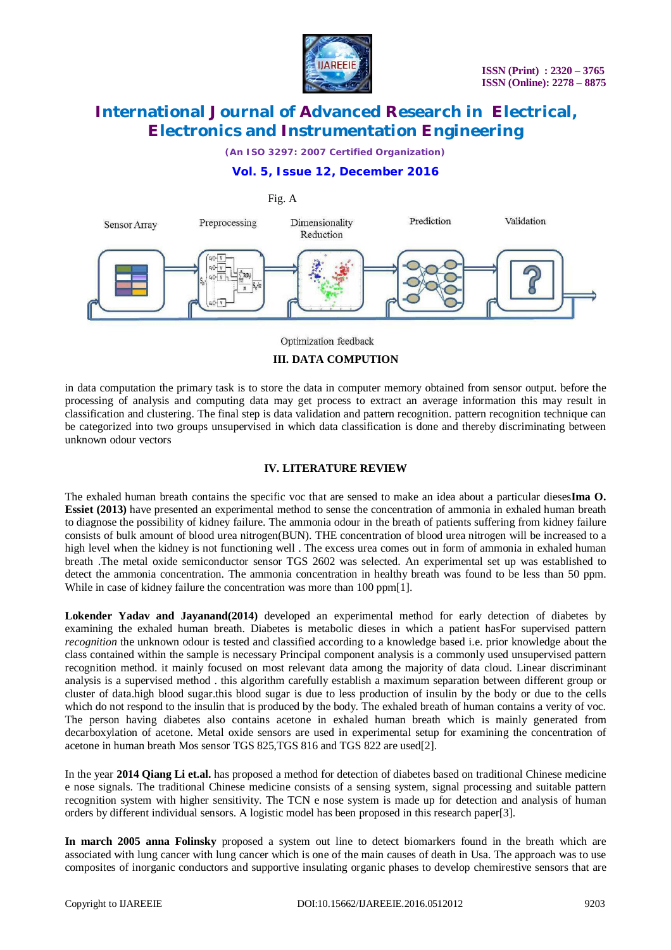

*(An ISO 3297: 2007 Certified Organization)*

# **Vol. 5, Issue 12, December 2016**



Optimization feedback

## **III. DATA COMPUTION**

in data computation the primary task is to store the data in computer memory obtained from sensor output. before the processing of analysis and computing data may get process to extract an average information this may result in classification and clustering. The final step is data validation and pattern recognition. pattern recognition technique can be categorized into two groups unsupervised in which data classification is done and thereby discriminating between unknown odour vectors

## **IV. LITERATURE REVIEW**

The exhaled human breath contains the specific voc that are sensed to make an idea about a particular dieses**Ima O. Essiet (2013)** have presented an experimental method to sense the concentration of ammonia in exhaled human breath to diagnose the possibility of kidney failure. The ammonia odour in the breath of patients suffering from kidney failure consists of bulk amount of blood urea nitrogen(BUN). THE concentration of blood urea nitrogen will be increased to a high level when the kidney is not functioning well . The excess urea comes out in form of ammonia in exhaled human breath .The metal oxide semiconductor sensor TGS 2602 was selected. An experimental set up was established to detect the ammonia concentration. The ammonia concentration in healthy breath was found to be less than 50 ppm. While in case of kidney failure the concentration was more than 100 ppm[1].

**Lokender Yadav and Jayanand(2014)** developed an experimental method for early detection of diabetes by examining the exhaled human breath. Diabetes is metabolic dieses in which a patient hasFor supervised pattern *recognition* the unknown odour is tested and classified according to a knowledge based i.e. prior knowledge about the class contained within the sample is necessary Principal component analysis is a commonly used unsupervised pattern recognition method. it mainly focused on most relevant data among the majority of data cloud. Linear discriminant analysis is a supervised method . this algorithm carefully establish a maximum separation between different group or cluster of data.high blood sugar.this blood sugar is due to less production of insulin by the body or due to the cells which do not respond to the insulin that is produced by the body. The exhaled breath of human contains a verity of voc. The person having diabetes also contains acetone in exhaled human breath which is mainly generated from decarboxylation of acetone. Metal oxide sensors are used in experimental setup for examining the concentration of acetone in human breath Mos sensor TGS 825,TGS 816 and TGS 822 are used[2].

In the year **2014 Qiang Li et.al.** has proposed a method for detection of diabetes based on traditional Chinese medicine e nose signals. The traditional Chinese medicine consists of a sensing system, signal processing and suitable pattern recognition system with higher sensitivity. The TCN e nose system is made up for detection and analysis of human orders by different individual sensors. A logistic model has been proposed in this research paper[3].

**In march 2005 anna Folinsky** proposed a system out line to detect biomarkers found in the breath which are associated with lung cancer with lung cancer which is one of the main causes of death in Usa. The approach was to use composites of inorganic conductors and supportive insulating organic phases to develop chemirestive sensors that are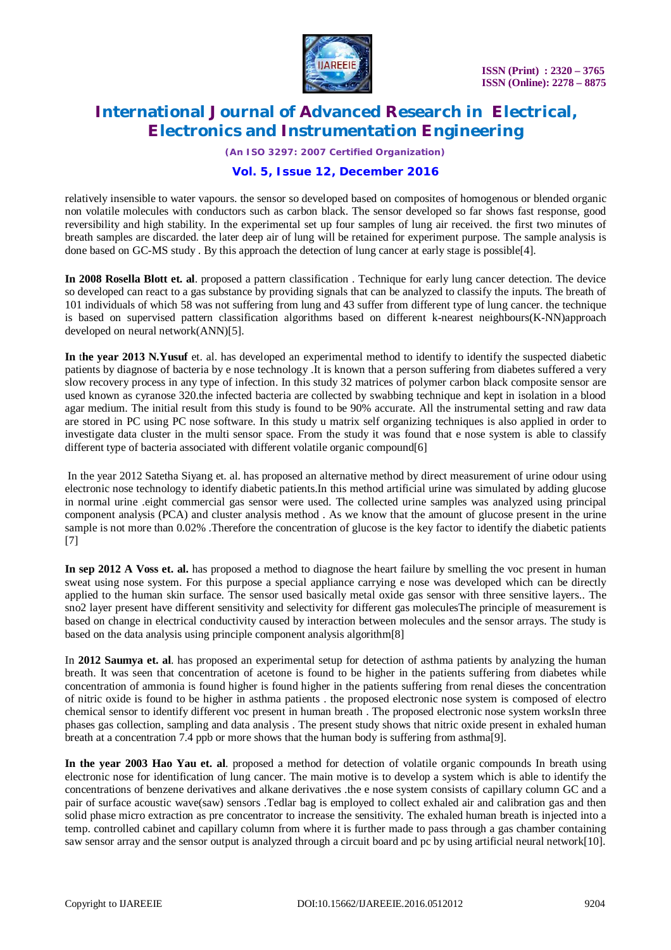

*(An ISO 3297: 2007 Certified Organization)*

# **Vol. 5, Issue 12, December 2016**

relatively insensible to water vapours. the sensor so developed based on composites of homogenous or blended organic non volatile molecules with conductors such as carbon black. The sensor developed so far shows fast response, good reversibility and high stability. In the experimental set up four samples of lung air received. the first two minutes of breath samples are discarded. the later deep air of lung will be retained for experiment purpose. The sample analysis is done based on GC-MS study . By this approach the detection of lung cancer at early stage is possible[4].

**In 2008 Rosella Blott et. al**. proposed a pattern classification . Technique for early lung cancer detection. The device so developed can react to a gas substance by providing signals that can be analyzed to classify the inputs. The breath of 101 individuals of which 58 was not suffering from lung and 43 suffer from different type of lung cancer. the technique is based on supervised pattern classification algorithms based on different k-nearest neighbours(K-NN)approach developed on neural network(ANN)[5].

**In** t**he year 2013 N.Yusuf** et. al. has developed an experimental method to identify to identify the suspected diabetic patients by diagnose of bacteria by e nose technology .It is known that a person suffering from diabetes suffered a very slow recovery process in any type of infection. In this study 32 matrices of polymer carbon black composite sensor are used known as cyranose 320.the infected bacteria are collected by swabbing technique and kept in isolation in a blood agar medium. The initial result from this study is found to be 90% accurate. All the instrumental setting and raw data are stored in PC using PC nose software. In this study u matrix self organizing techniques is also applied in order to investigate data cluster in the multi sensor space. From the study it was found that e nose system is able to classify different type of bacteria associated with different volatile organic compound[6]

In the year 2012 Satetha Siyang et. al. has proposed an alternative method by direct measurement of urine odour using electronic nose technology to identify diabetic patients.In this method artificial urine was simulated by adding glucose in normal urine .eight commercial gas sensor were used. The collected urine samples was analyzed using principal component analysis (PCA) and cluster analysis method . As we know that the amount of glucose present in the urine sample is not more than 0.02% .Therefore the concentration of glucose is the key factor to identify the diabetic patients [7]

**In sep 2012 A Voss et. al.** has proposed a method to diagnose the heart failure by smelling the voc present in human sweat using nose system. For this purpose a special appliance carrying e nose was developed which can be directly applied to the human skin surface. The sensor used basically metal oxide gas sensor with three sensitive layers.. The sno2 layer present have different sensitivity and selectivity for different gas moleculesThe principle of measurement is based on change in electrical conductivity caused by interaction between molecules and the sensor arrays. The study is based on the data analysis using principle component analysis algorithm[8]

In **2012 Saumya et. al**. has proposed an experimental setup for detection of asthma patients by analyzing the human breath. It was seen that concentration of acetone is found to be higher in the patients suffering from diabetes while concentration of ammonia is found higher is found higher in the patients suffering from renal dieses the concentration of nitric oxide is found to be higher in asthma patients . the proposed electronic nose system is composed of electro chemical sensor to identify different voc present in human breath . The proposed electronic nose system worksIn three phases gas collection, sampling and data analysis . The present study shows that nitric oxide present in exhaled human breath at a concentration 7.4 ppb or more shows that the human body is suffering from asthma[9].

**In the year 2003 Hao Yau et. al**. proposed a method for detection of volatile organic compounds In breath using electronic nose for identification of lung cancer. The main motive is to develop a system which is able to identify the concentrations of benzene derivatives and alkane derivatives .the e nose system consists of capillary column GC and a pair of surface acoustic wave(saw) sensors .Tedlar bag is employed to collect exhaled air and calibration gas and then solid phase micro extraction as pre concentrator to increase the sensitivity. The exhaled human breath is injected into a temp. controlled cabinet and capillary column from where it is further made to pass through a gas chamber containing saw sensor array and the sensor output is analyzed through a circuit board and pc by using artificial neural network[10].